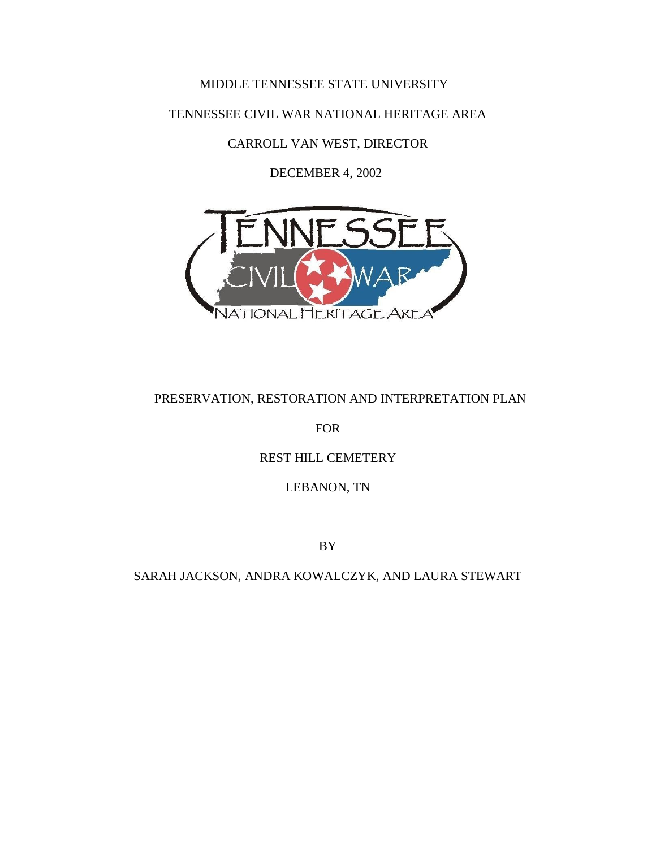# MIDDLE TENNESSEE STATE UNIVERSITY

TENNESSEE CIVIL WAR NATIONAL HERITAGE AREA

CARROLL VAN WEST, DIRECTOR

DECEMBER 4, 2002



# PRESERVATION, RESTORATION AND INTERPRETATION PLAN

FOR

# REST HILL CEMETERY

LEBANON, TN

BY

SARAH JACKSON, ANDRA KOWALCZYK, AND LAURA STEWART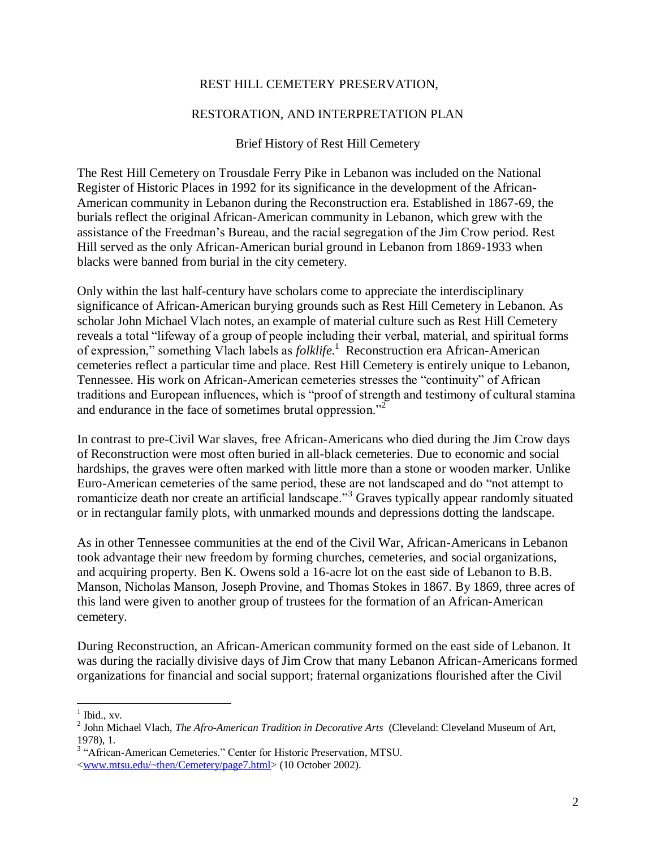### REST HILL CEMETERY PRESERVATION,

### RESTORATION, AND INTERPRETATION PLAN

#### Brief History of Rest Hill Cemetery

The Rest Hill Cemetery on Trousdale Ferry Pike in Lebanon was included on the National Register of Historic Places in 1992 for its significance in the development of the African-American community in Lebanon during the Reconstruction era. Established in 1867-69, the burials reflect the original African-American community in Lebanon, which grew with the assistance of the Freedman's Bureau, and the racial segregation of the Jim Crow period. Rest Hill served as the only African-American burial ground in Lebanon from 1869-1933 when blacks were banned from burial in the city cemetery.

Only within the last half-century have scholars come to appreciate the interdisciplinary significance of African-American burying grounds such as Rest Hill Cemetery in Lebanon. As scholar John Michael Vlach notes, an example of material culture such as Rest Hill Cemetery reveals a total "lifeway of a group of people including their verbal, material, and spiritual forms of expression," something Vlach labels as *folklife*. 1 Reconstruction era African-American cemeteries reflect a particular time and place. Rest Hill Cemetery is entirely unique to Lebanon, Tennessee. His work on African-American cemeteries stresses the "continuity" of African traditions and European influences, which is "proof of strength and testimony of cultural stamina and endurance in the face of sometimes brutal oppression."<sup>2</sup>

In contrast to pre-Civil War slaves, free African-Americans who died during the Jim Crow days of Reconstruction were most often buried in all-black cemeteries. Due to economic and social hardships, the graves were often marked with little more than a stone or wooden marker. Unlike Euro-American cemeteries of the same period, these are not landscaped and do "not attempt to romanticize death nor create an artificial landscape."<sup>3</sup> Graves typically appear randomly situated or in rectangular family plots, with unmarked mounds and depressions dotting the landscape.

As in other Tennessee communities at the end of the Civil War, African-Americans in Lebanon took advantage their new freedom by forming churches, cemeteries, and social organizations, and acquiring property. Ben K. Owens sold a 16-acre lot on the east side of Lebanon to B.B. Manson, Nicholas Manson, Joseph Provine, and Thomas Stokes in 1867. By 1869, three acres of this land were given to another group of trustees for the formation of an African-American cemetery.

During Reconstruction, an African-American community formed on the east side of Lebanon. It was during the racially divisive days of Jim Crow that many Lebanon African-Americans formed organizations for financial and social support; fraternal organizations flourished after the Civil

 $\frac{1}{1}$  Ibid., xv.

<sup>&</sup>lt;sup>2</sup> John Michael Vlach, *The Afro-American Tradition in Decorative Arts* (Cleveland: Cleveland Museum of Art, 1978), 1.

<sup>&</sup>lt;sup>3</sup> "African-American Cemeteries." Center for Historic Preservation, MTSU. [<www.mtsu.edu/~then/Cemetery/page7.html>](http://www.mtsu.edu/~then/Cemetery/page7.html) (10 October 2002).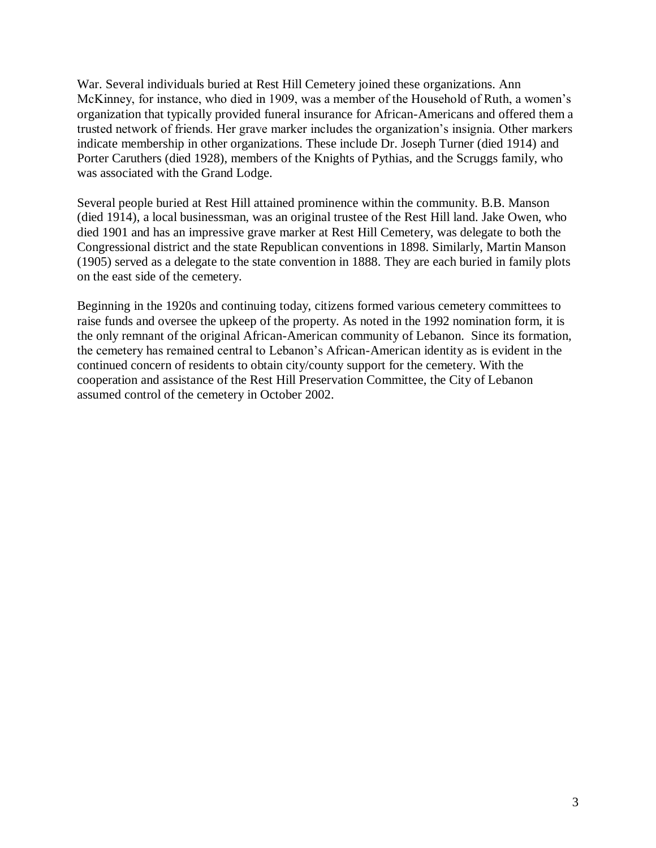War. Several individuals buried at Rest Hill Cemetery joined these organizations. Ann McKinney, for instance, who died in 1909, was a member of the Household of Ruth, a women's organization that typically provided funeral insurance for African-Americans and offered them a trusted network of friends. Her grave marker includes the organization's insignia. Other markers indicate membership in other organizations. These include Dr. Joseph Turner (died 1914) and Porter Caruthers (died 1928), members of the Knights of Pythias, and the Scruggs family, who was associated with the Grand Lodge.

Several people buried at Rest Hill attained prominence within the community. B.B. Manson (died 1914), a local businessman, was an original trustee of the Rest Hill land. Jake Owen, who died 1901 and has an impressive grave marker at Rest Hill Cemetery, was delegate to both the Congressional district and the state Republican conventions in 1898. Similarly, Martin Manson (1905) served as a delegate to the state convention in 1888. They are each buried in family plots on the east side of the cemetery.

Beginning in the 1920s and continuing today, citizens formed various cemetery committees to raise funds and oversee the upkeep of the property. As noted in the 1992 nomination form, it is the only remnant of the original African-American community of Lebanon. Since its formation, the cemetery has remained central to Lebanon's African-American identity as is evident in the continued concern of residents to obtain city/county support for the cemetery. With the cooperation and assistance of the Rest Hill Preservation Committee, the City of Lebanon assumed control of the cemetery in October 2002.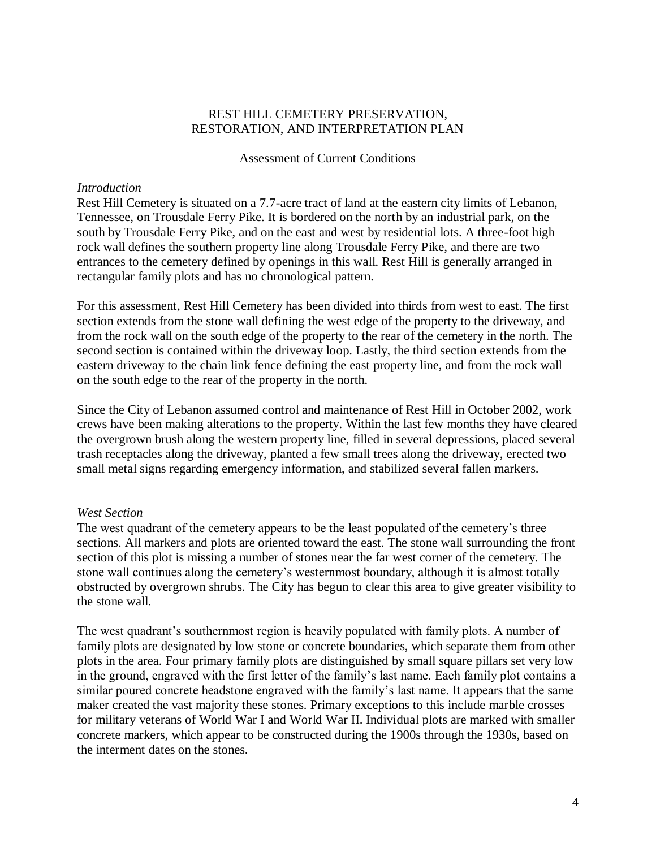#### Assessment of Current Conditions

### *Introduction*

Rest Hill Cemetery is situated on a 7.7-acre tract of land at the eastern city limits of Lebanon, Tennessee, on Trousdale Ferry Pike. It is bordered on the north by an industrial park, on the south by Trousdale Ferry Pike, and on the east and west by residential lots. A three-foot high rock wall defines the southern property line along Trousdale Ferry Pike, and there are two entrances to the cemetery defined by openings in this wall. Rest Hill is generally arranged in rectangular family plots and has no chronological pattern.

For this assessment, Rest Hill Cemetery has been divided into thirds from west to east. The first section extends from the stone wall defining the west edge of the property to the driveway, and from the rock wall on the south edge of the property to the rear of the cemetery in the north. The second section is contained within the driveway loop. Lastly, the third section extends from the eastern driveway to the chain link fence defining the east property line, and from the rock wall on the south edge to the rear of the property in the north.

Since the City of Lebanon assumed control and maintenance of Rest Hill in October 2002, work crews have been making alterations to the property. Within the last few months they have cleared the overgrown brush along the western property line, filled in several depressions, placed several trash receptacles along the driveway, planted a few small trees along the driveway, erected two small metal signs regarding emergency information, and stabilized several fallen markers.

### *West Section*

The west quadrant of the cemetery appears to be the least populated of the cemetery's three sections. All markers and plots are oriented toward the east. The stone wall surrounding the front section of this plot is missing a number of stones near the far west corner of the cemetery. The stone wall continues along the cemetery's westernmost boundary, although it is almost totally obstructed by overgrown shrubs. The City has begun to clear this area to give greater visibility to the stone wall.

The west quadrant's southernmost region is heavily populated with family plots. A number of family plots are designated by low stone or concrete boundaries, which separate them from other plots in the area. Four primary family plots are distinguished by small square pillars set very low in the ground, engraved with the first letter of the family's last name. Each family plot contains a similar poured concrete headstone engraved with the family's last name. It appears that the same maker created the vast majority these stones. Primary exceptions to this include marble crosses for military veterans of World War I and World War II. Individual plots are marked with smaller concrete markers, which appear to be constructed during the 1900s through the 1930s, based on the interment dates on the stones.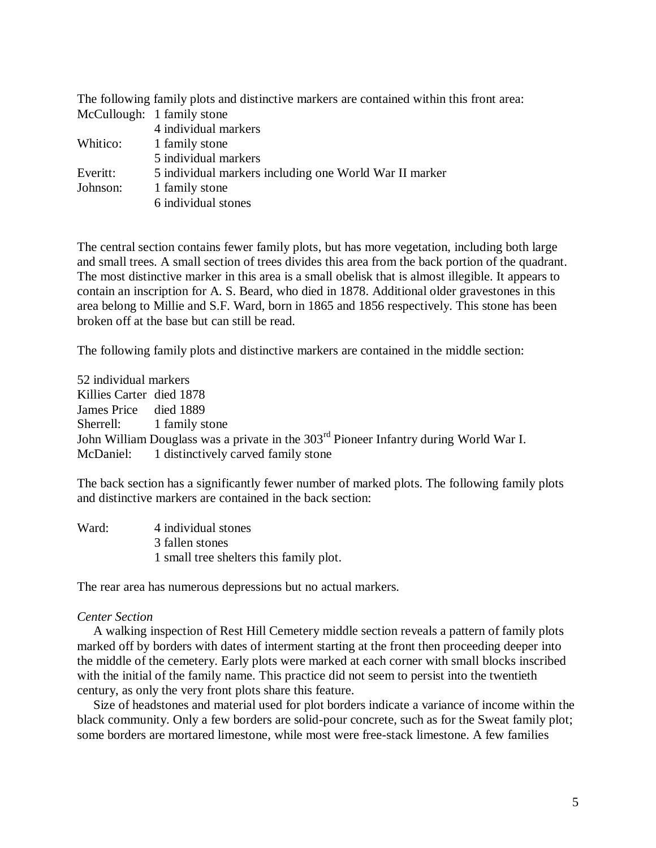|          | The following family plots and distinctive markers are contained within this front area: |
|----------|------------------------------------------------------------------------------------------|
|          | McCullough: 1 family stone                                                               |
|          | 4 individual markers                                                                     |
|          | Whitico: 1 family stone                                                                  |
|          | 5 individual markers                                                                     |
| Everitt: | 5 individual markers including one World War II marker                                   |
| Johnson: | 1 family stone                                                                           |
|          | 6 individual stones                                                                      |

The central section contains fewer family plots, but has more vegetation, including both large and small trees. A small section of trees divides this area from the back portion of the quadrant. The most distinctive marker in this area is a small obelisk that is almost illegible. It appears to contain an inscription for A. S. Beard, who died in 1878. Additional older gravestones in this area belong to Millie and S.F. Ward, born in 1865 and 1856 respectively. This stone has been broken off at the base but can still be read.

The following family plots and distinctive markers are contained in the middle section:

52 individual markers Killies Carter died 1878 James Price died 1889 Sherrell: 1 family stone John William Douglass was a private in the 303rd Pioneer Infantry during World War I. McDaniel: 1 distinctively carved family stone

The back section has a significantly fewer number of marked plots. The following family plots and distinctive markers are contained in the back section:

| Ward: | 4 individual stones                     |
|-------|-----------------------------------------|
|       | 3 fallen stones                         |
|       | 1 small tree shelters this family plot. |

The rear area has numerous depressions but no actual markers.

#### *Center Section*

 A walking inspection of Rest Hill Cemetery middle section reveals a pattern of family plots marked off by borders with dates of interment starting at the front then proceeding deeper into the middle of the cemetery. Early plots were marked at each corner with small blocks inscribed with the initial of the family name. This practice did not seem to persist into the twentieth century, as only the very front plots share this feature.

 Size of headstones and material used for plot borders indicate a variance of income within the black community. Only a few borders are solid-pour concrete, such as for the Sweat family plot; some borders are mortared limestone, while most were free-stack limestone. A few families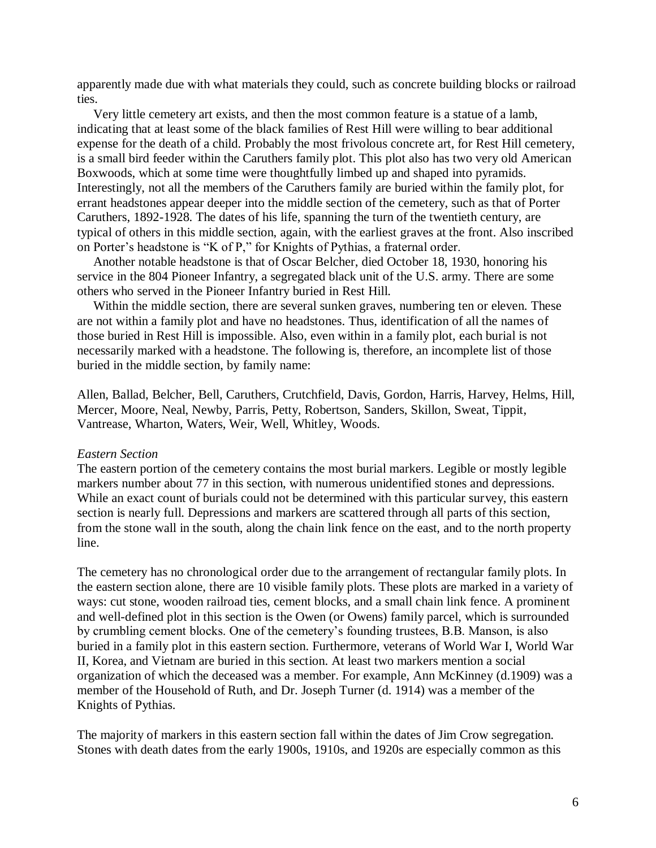apparently made due with what materials they could, such as concrete building blocks or railroad ties.

 Very little cemetery art exists, and then the most common feature is a statue of a lamb, indicating that at least some of the black families of Rest Hill were willing to bear additional expense for the death of a child. Probably the most frivolous concrete art, for Rest Hill cemetery, is a small bird feeder within the Caruthers family plot. This plot also has two very old American Boxwoods, which at some time were thoughtfully limbed up and shaped into pyramids. Interestingly, not all the members of the Caruthers family are buried within the family plot, for errant headstones appear deeper into the middle section of the cemetery, such as that of Porter Caruthers, 1892-1928. The dates of his life, spanning the turn of the twentieth century, are typical of others in this middle section, again, with the earliest graves at the front. Also inscribed on Porter's headstone is "K of P," for Knights of Pythias, a fraternal order.

 Another notable headstone is that of Oscar Belcher, died October 18, 1930, honoring his service in the 804 Pioneer Infantry, a segregated black unit of the U.S. army. There are some others who served in the Pioneer Infantry buried in Rest Hill.

 Within the middle section, there are several sunken graves, numbering ten or eleven. These are not within a family plot and have no headstones. Thus, identification of all the names of those buried in Rest Hill is impossible. Also, even within in a family plot, each burial is not necessarily marked with a headstone. The following is, therefore, an incomplete list of those buried in the middle section, by family name:

Allen, Ballad, Belcher, Bell, Caruthers, Crutchfield, Davis, Gordon, Harris, Harvey, Helms, Hill, Mercer, Moore, Neal, Newby, Parris, Petty, Robertson, Sanders, Skillon, Sweat, Tippit, Vantrease, Wharton, Waters, Weir, Well, Whitley, Woods.

#### *Eastern Section*

The eastern portion of the cemetery contains the most burial markers. Legible or mostly legible markers number about 77 in this section, with numerous unidentified stones and depressions. While an exact count of burials could not be determined with this particular survey, this eastern section is nearly full. Depressions and markers are scattered through all parts of this section, from the stone wall in the south, along the chain link fence on the east, and to the north property line.

The cemetery has no chronological order due to the arrangement of rectangular family plots. In the eastern section alone, there are 10 visible family plots. These plots are marked in a variety of ways: cut stone, wooden railroad ties, cement blocks, and a small chain link fence. A prominent and well-defined plot in this section is the Owen (or Owens) family parcel, which is surrounded by crumbling cement blocks. One of the cemetery's founding trustees, B.B. Manson, is also buried in a family plot in this eastern section. Furthermore, veterans of World War I, World War II, Korea, and Vietnam are buried in this section. At least two markers mention a social organization of which the deceased was a member. For example, Ann McKinney (d.1909) was a member of the Household of Ruth, and Dr. Joseph Turner (d. 1914) was a member of the Knights of Pythias.

The majority of markers in this eastern section fall within the dates of Jim Crow segregation. Stones with death dates from the early 1900s, 1910s, and 1920s are especially common as this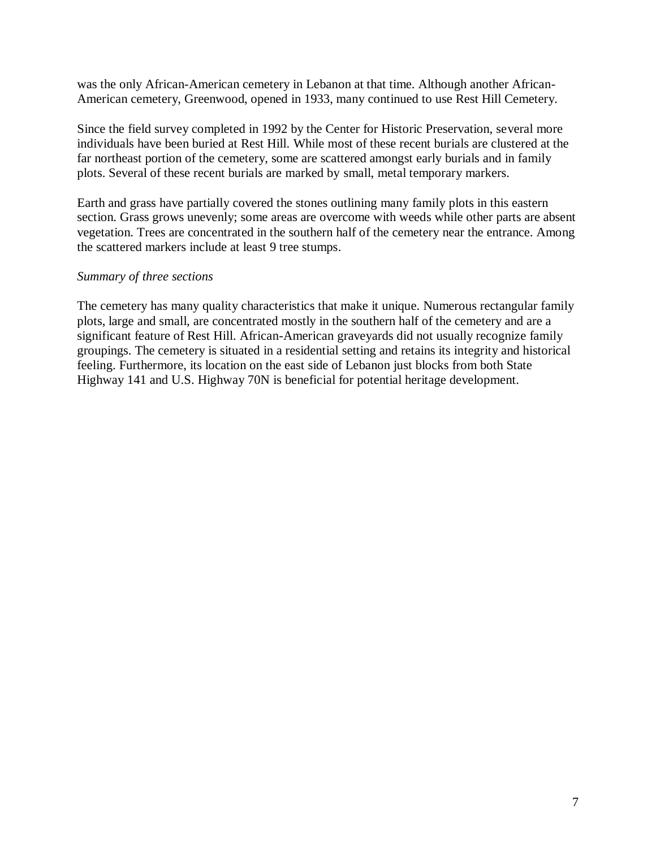was the only African-American cemetery in Lebanon at that time. Although another African-American cemetery, Greenwood, opened in 1933, many continued to use Rest Hill Cemetery.

Since the field survey completed in 1992 by the Center for Historic Preservation, several more individuals have been buried at Rest Hill. While most of these recent burials are clustered at the far northeast portion of the cemetery, some are scattered amongst early burials and in family plots. Several of these recent burials are marked by small, metal temporary markers.

Earth and grass have partially covered the stones outlining many family plots in this eastern section. Grass grows unevenly; some areas are overcome with weeds while other parts are absent vegetation. Trees are concentrated in the southern half of the cemetery near the entrance. Among the scattered markers include at least 9 tree stumps.

## *Summary of three sections*

The cemetery has many quality characteristics that make it unique. Numerous rectangular family plots, large and small, are concentrated mostly in the southern half of the cemetery and are a significant feature of Rest Hill. African-American graveyards did not usually recognize family groupings. The cemetery is situated in a residential setting and retains its integrity and historical feeling. Furthermore, its location on the east side of Lebanon just blocks from both State Highway 141 and U.S. Highway 70N is beneficial for potential heritage development.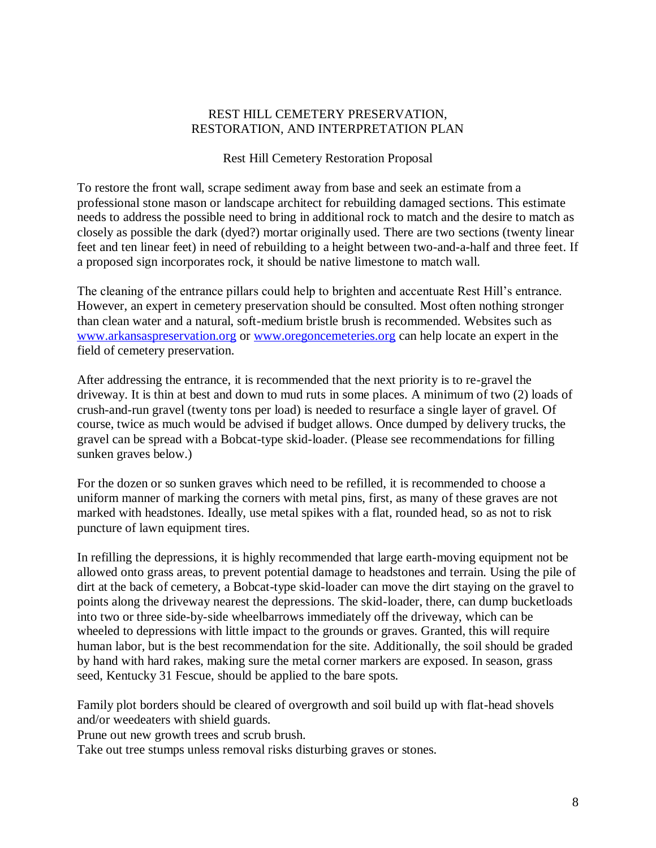## Rest Hill Cemetery Restoration Proposal

To restore the front wall, scrape sediment away from base and seek an estimate from a professional stone mason or landscape architect for rebuilding damaged sections. This estimate needs to address the possible need to bring in additional rock to match and the desire to match as closely as possible the dark (dyed?) mortar originally used. There are two sections (twenty linear feet and ten linear feet) in need of rebuilding to a height between two-and-a-half and three feet. If a proposed sign incorporates rock, it should be native limestone to match wall.

The cleaning of the entrance pillars could help to brighten and accentuate Rest Hill's entrance. However, an expert in cemetery preservation should be consulted. Most often nothing stronger than clean water and a natural, soft-medium bristle brush is recommended. Websites such as [www.arkansaspreservation.org](http://www.arkansaspreservation.org/) or [www.oregoncemeteries.org](http://www.oregoncemeteries.org/) can help locate an expert in the field of cemetery preservation.

After addressing the entrance, it is recommended that the next priority is to re-gravel the driveway. It is thin at best and down to mud ruts in some places. A minimum of two (2) loads of crush-and-run gravel (twenty tons per load) is needed to resurface a single layer of gravel. Of course, twice as much would be advised if budget allows. Once dumped by delivery trucks, the gravel can be spread with a Bobcat-type skid-loader. (Please see recommendations for filling sunken graves below.)

For the dozen or so sunken graves which need to be refilled, it is recommended to choose a uniform manner of marking the corners with metal pins, first, as many of these graves are not marked with headstones. Ideally, use metal spikes with a flat, rounded head, so as not to risk puncture of lawn equipment tires.

In refilling the depressions, it is highly recommended that large earth-moving equipment not be allowed onto grass areas, to prevent potential damage to headstones and terrain. Using the pile of dirt at the back of cemetery, a Bobcat-type skid-loader can move the dirt staying on the gravel to points along the driveway nearest the depressions. The skid-loader, there, can dump bucketloads into two or three side-by-side wheelbarrows immediately off the driveway, which can be wheeled to depressions with little impact to the grounds or graves. Granted, this will require human labor, but is the best recommendation for the site. Additionally, the soil should be graded by hand with hard rakes, making sure the metal corner markers are exposed. In season, grass seed, Kentucky 31 Fescue, should be applied to the bare spots.

Family plot borders should be cleared of overgrowth and soil build up with flat-head shovels and/or weedeaters with shield guards.

Prune out new growth trees and scrub brush.

Take out tree stumps unless removal risks disturbing graves or stones.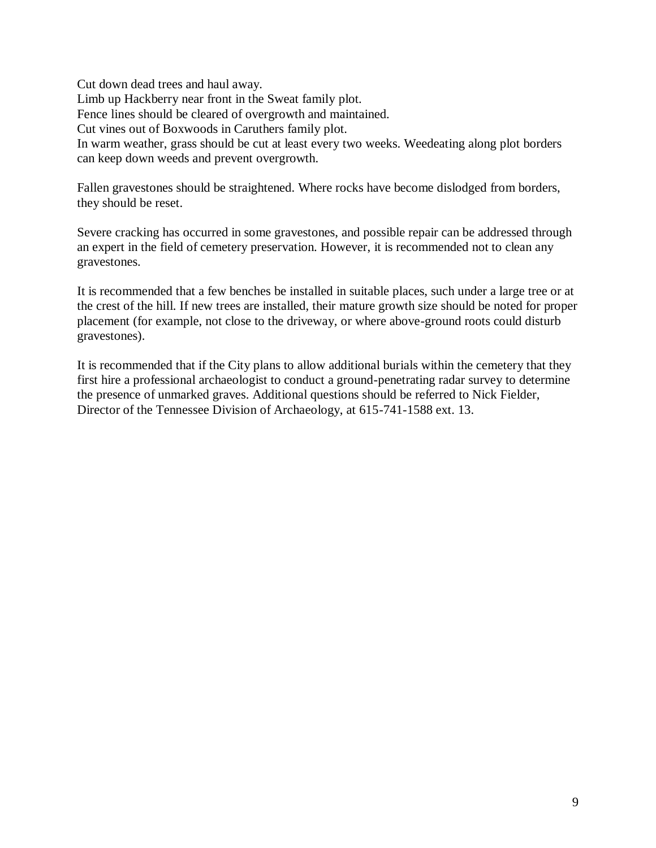Cut down dead trees and haul away. Limb up Hackberry near front in the Sweat family plot. Fence lines should be cleared of overgrowth and maintained. Cut vines out of Boxwoods in Caruthers family plot. In warm weather, grass should be cut at least every two weeks. Weedeating along plot borders can keep down weeds and prevent overgrowth.

Fallen gravestones should be straightened. Where rocks have become dislodged from borders, they should be reset.

Severe cracking has occurred in some gravestones, and possible repair can be addressed through an expert in the field of cemetery preservation. However, it is recommended not to clean any gravestones.

It is recommended that a few benches be installed in suitable places, such under a large tree or at the crest of the hill. If new trees are installed, their mature growth size should be noted for proper placement (for example, not close to the driveway, or where above-ground roots could disturb gravestones).

It is recommended that if the City plans to allow additional burials within the cemetery that they first hire a professional archaeologist to conduct a ground-penetrating radar survey to determine the presence of unmarked graves. Additional questions should be referred to Nick Fielder, Director of the Tennessee Division of Archaeology, at 615-741-1588 ext. 13.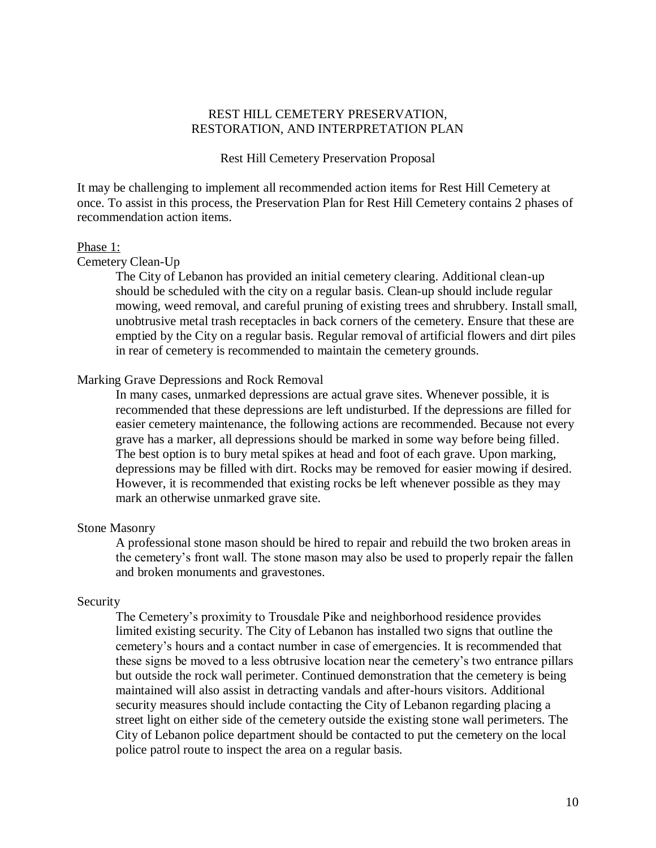#### Rest Hill Cemetery Preservation Proposal

It may be challenging to implement all recommended action items for Rest Hill Cemetery at once. To assist in this process, the Preservation Plan for Rest Hill Cemetery contains 2 phases of recommendation action items.

#### Phase 1:

Cemetery Clean-Up

The City of Lebanon has provided an initial cemetery clearing. Additional clean-up should be scheduled with the city on a regular basis. Clean-up should include regular mowing, weed removal, and careful pruning of existing trees and shrubbery. Install small, unobtrusive metal trash receptacles in back corners of the cemetery. Ensure that these are emptied by the City on a regular basis. Regular removal of artificial flowers and dirt piles in rear of cemetery is recommended to maintain the cemetery grounds.

#### Marking Grave Depressions and Rock Removal

In many cases, unmarked depressions are actual grave sites. Whenever possible, it is recommended that these depressions are left undisturbed. If the depressions are filled for easier cemetery maintenance, the following actions are recommended. Because not every grave has a marker, all depressions should be marked in some way before being filled. The best option is to bury metal spikes at head and foot of each grave. Upon marking, depressions may be filled with dirt. Rocks may be removed for easier mowing if desired. However, it is recommended that existing rocks be left whenever possible as they may mark an otherwise unmarked grave site.

#### Stone Masonry

A professional stone mason should be hired to repair and rebuild the two broken areas in the cemetery's front wall. The stone mason may also be used to properly repair the fallen and broken monuments and gravestones.

#### Security

The Cemetery's proximity to Trousdale Pike and neighborhood residence provides limited existing security. The City of Lebanon has installed two signs that outline the cemetery's hours and a contact number in case of emergencies. It is recommended that these signs be moved to a less obtrusive location near the cemetery's two entrance pillars but outside the rock wall perimeter. Continued demonstration that the cemetery is being maintained will also assist in detracting vandals and after-hours visitors. Additional security measures should include contacting the City of Lebanon regarding placing a street light on either side of the cemetery outside the existing stone wall perimeters. The City of Lebanon police department should be contacted to put the cemetery on the local police patrol route to inspect the area on a regular basis.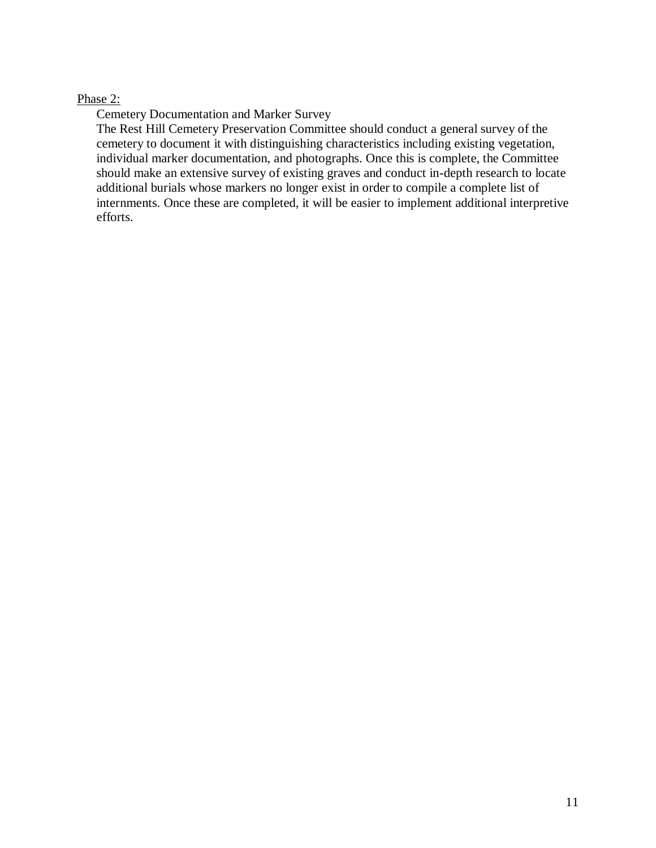## Phase 2:

Cemetery Documentation and Marker Survey

The Rest Hill Cemetery Preservation Committee should conduct a general survey of the cemetery to document it with distinguishing characteristics including existing vegetation, individual marker documentation, and photographs. Once this is complete, the Committee should make an extensive survey of existing graves and conduct in-depth research to locate additional burials whose markers no longer exist in order to compile a complete list of internments. Once these are completed, it will be easier to implement additional interpretive efforts.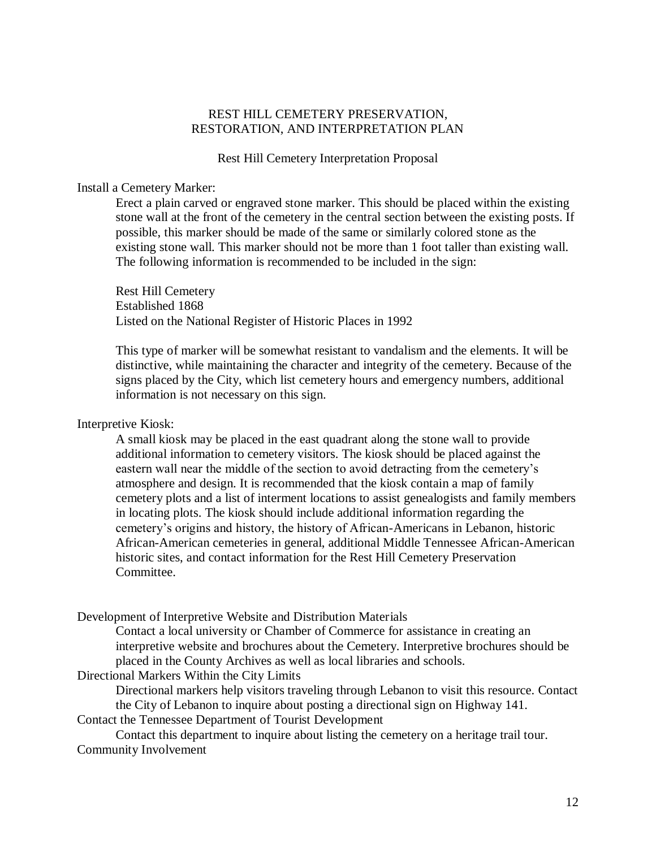Rest Hill Cemetery Interpretation Proposal

#### Install a Cemetery Marker:

Erect a plain carved or engraved stone marker. This should be placed within the existing stone wall at the front of the cemetery in the central section between the existing posts. If possible, this marker should be made of the same or similarly colored stone as the existing stone wall. This marker should not be more than 1 foot taller than existing wall. The following information is recommended to be included in the sign:

Rest Hill Cemetery Established 1868 Listed on the National Register of Historic Places in 1992

This type of marker will be somewhat resistant to vandalism and the elements. It will be distinctive, while maintaining the character and integrity of the cemetery. Because of the signs placed by the City, which list cemetery hours and emergency numbers, additional information is not necessary on this sign.

#### Interpretive Kiosk:

A small kiosk may be placed in the east quadrant along the stone wall to provide additional information to cemetery visitors. The kiosk should be placed against the eastern wall near the middle of the section to avoid detracting from the cemetery's atmosphere and design. It is recommended that the kiosk contain a map of family cemetery plots and a list of interment locations to assist genealogists and family members in locating plots. The kiosk should include additional information regarding the cemetery's origins and history, the history of African-Americans in Lebanon, historic African-American cemeteries in general, additional Middle Tennessee African-American historic sites, and contact information for the Rest Hill Cemetery Preservation Committee.

Development of Interpretive Website and Distribution Materials

Contact a local university or Chamber of Commerce for assistance in creating an interpretive website and brochures about the Cemetery. Interpretive brochures should be placed in the County Archives as well as local libraries and schools.

Directional Markers Within the City Limits

Directional markers help visitors traveling through Lebanon to visit this resource. Contact the City of Lebanon to inquire about posting a directional sign on Highway 141.

Contact the Tennessee Department of Tourist Development

Contact this department to inquire about listing the cemetery on a heritage trail tour. Community Involvement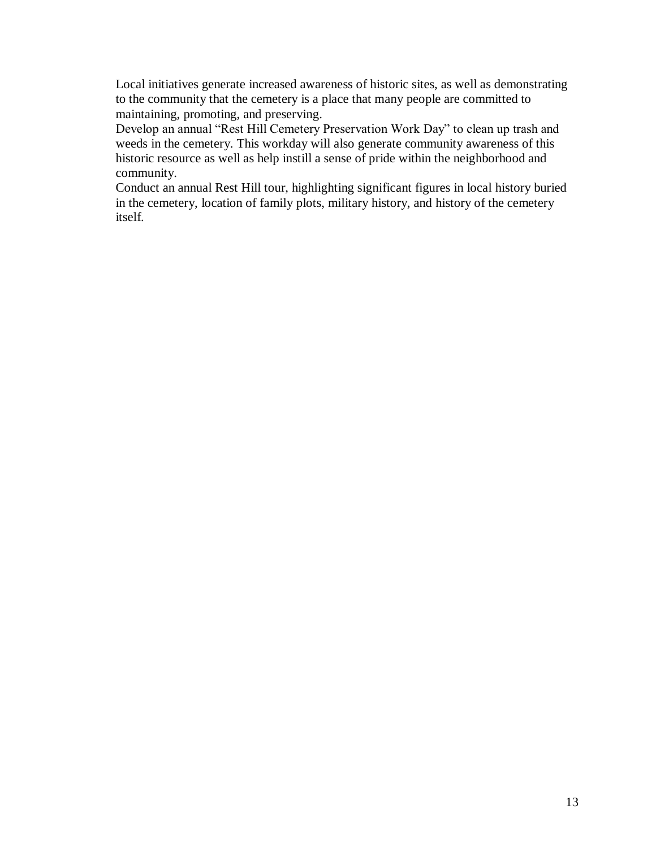Local initiatives generate increased awareness of historic sites, as well as demonstrating to the community that the cemetery is a place that many people are committed to maintaining, promoting, and preserving.

Develop an annual "Rest Hill Cemetery Preservation Work Day" to clean up trash and weeds in the cemetery. This workday will also generate community awareness of this historic resource as well as help instill a sense of pride within the neighborhood and community.

Conduct an annual Rest Hill tour, highlighting significant figures in local history buried in the cemetery, location of family plots, military history, and history of the cemetery itself.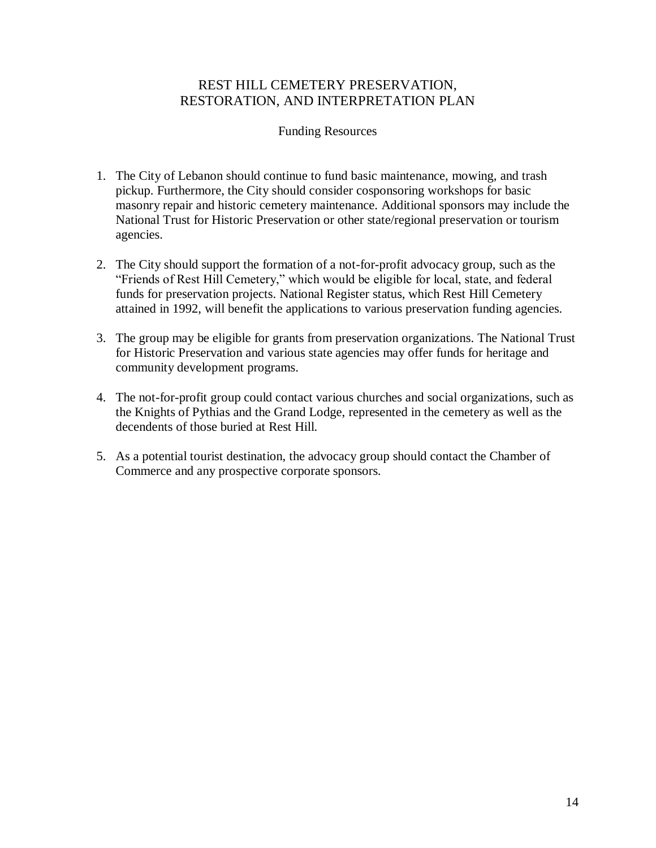## Funding Resources

- 1. The City of Lebanon should continue to fund basic maintenance, mowing, and trash pickup. Furthermore, the City should consider cosponsoring workshops for basic masonry repair and historic cemetery maintenance. Additional sponsors may include the National Trust for Historic Preservation or other state/regional preservation or tourism agencies.
- 2. The City should support the formation of a not-for-profit advocacy group, such as the "Friends of Rest Hill Cemetery," which would be eligible for local, state, and federal funds for preservation projects. National Register status, which Rest Hill Cemetery attained in 1992, will benefit the applications to various preservation funding agencies.
- 3. The group may be eligible for grants from preservation organizations. The National Trust for Historic Preservation and various state agencies may offer funds for heritage and community development programs.
- 4. The not-for-profit group could contact various churches and social organizations, such as the Knights of Pythias and the Grand Lodge, represented in the cemetery as well as the decendents of those buried at Rest Hill.
- 5. As a potential tourist destination, the advocacy group should contact the Chamber of Commerce and any prospective corporate sponsors.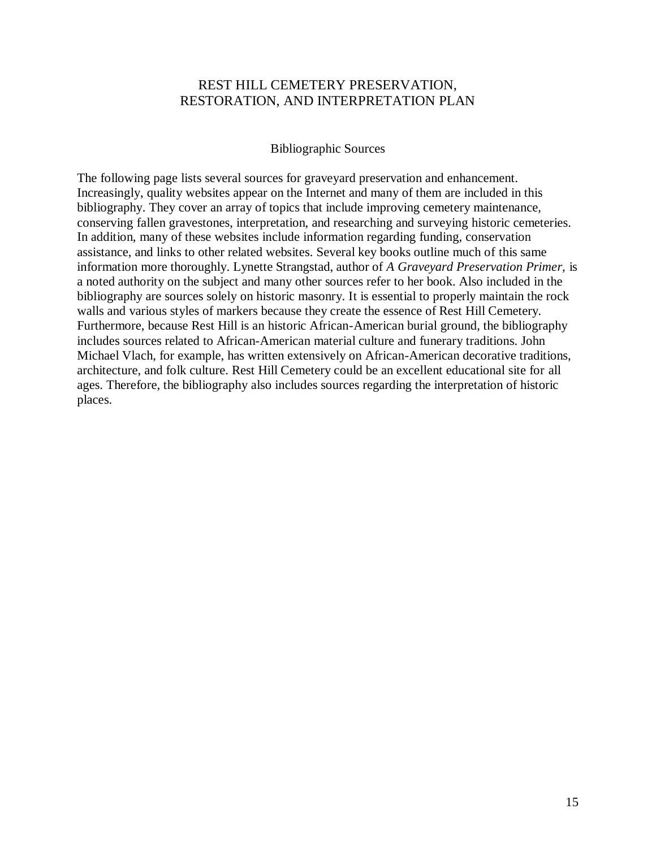### Bibliographic Sources

The following page lists several sources for graveyard preservation and enhancement. Increasingly, quality websites appear on the Internet and many of them are included in this bibliography. They cover an array of topics that include improving cemetery maintenance, conserving fallen gravestones, interpretation, and researching and surveying historic cemeteries. In addition, many of these websites include information regarding funding, conservation assistance, and links to other related websites. Several key books outline much of this same information more thoroughly. Lynette Strangstad, author of *A Graveyard Preservation Primer,* is a noted authority on the subject and many other sources refer to her book. Also included in the bibliography are sources solely on historic masonry. It is essential to properly maintain the rock walls and various styles of markers because they create the essence of Rest Hill Cemetery. Furthermore, because Rest Hill is an historic African-American burial ground, the bibliography includes sources related to African-American material culture and funerary traditions. John Michael Vlach, for example, has written extensively on African-American decorative traditions, architecture, and folk culture. Rest Hill Cemetery could be an excellent educational site for all ages. Therefore, the bibliography also includes sources regarding the interpretation of historic places.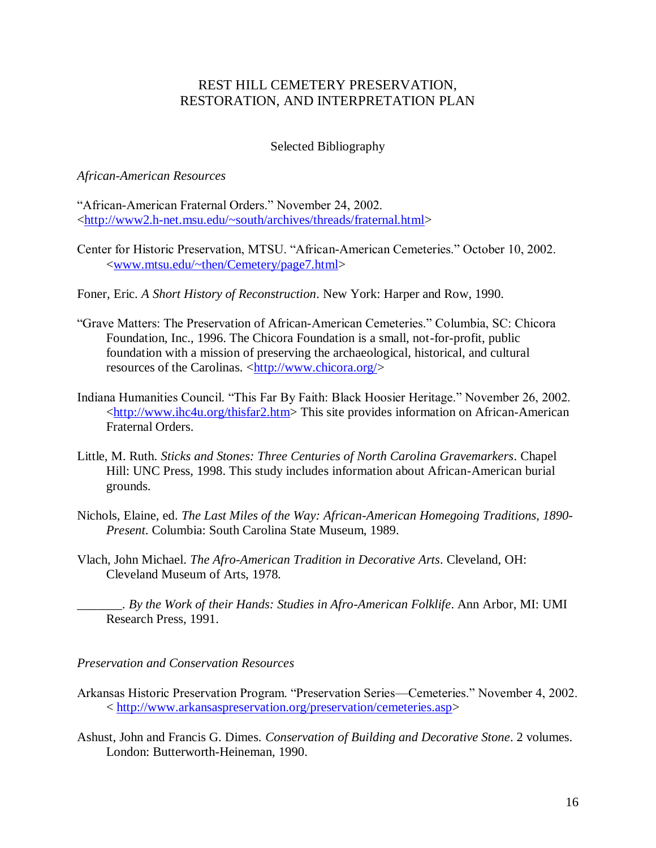## Selected Bibliography

### *African-American Resources*

"African-American Fraternal Orders." November 24, 2002. [<http://www2.h-net.msu.edu/~south/archives/threads/fraternal.html>](http://www2.h-net.msu.edu/~south/archives/threads/fraternal.html)

- Center for Historic Preservation, MTSU. "African-American Cemeteries." October 10, 2002. [<www.mtsu.edu/~then/Cemetery/page7.html>](http://www.mtsu.edu/~then/Cemetery/page7.html)
- Foner, Eric. *A Short History of Reconstruction*. New York: Harper and Row, 1990.
- "Grave Matters: The Preservation of African-American Cemeteries." Columbia, SC: Chicora Foundation, Inc., 1996. The Chicora Foundation is a small, not-for-profit, public foundation with a mission of preserving the archaeological, historical, and cultural resources of the Carolinas. [<http://www.chicora.org/>](http://www.chicora.org/)
- Indiana Humanities Council. "This Far By Faith: Black Hoosier Heritage." November 26, 2002. [<http://www.ihc4u.org/thisfar2.htm>](http://www.ihc4u.org/thisfar2.htm) This site provides information on African-American Fraternal Orders.
- Little, M. Ruth. *Sticks and Stones: Three Centuries of North Carolina Gravemarkers*. Chapel Hill: UNC Press, 1998. This study includes information about African-American burial grounds.
- Nichols, Elaine, ed. *The Last Miles of the Way: African-American Homegoing Traditions, 1890- Present*. Columbia: South Carolina State Museum, 1989.
- Vlach, John Michael. *The Afro-American Tradition in Decorative Arts*. Cleveland, OH: Cleveland Museum of Arts, 1978.

\_\_\_\_\_\_\_. *By the Work of their Hands: Studies in Afro-American Folklife*. Ann Arbor, MI: UMI Research Press, 1991.

### *Preservation and Conservation Resources*

- Arkansas Historic Preservation Program. "Preservation Series—Cemeteries." November 4, 2002. < [http://www.arkansaspreservation.org/preservation/cemeteries.asp>](http://www.arkansaspreservation.org/preservation/cemeteries.asp)
- Ashust, John and Francis G. Dimes. *Conservation of Building and Decorative Stone*. 2 volumes. London: Butterworth-Heineman, 1990.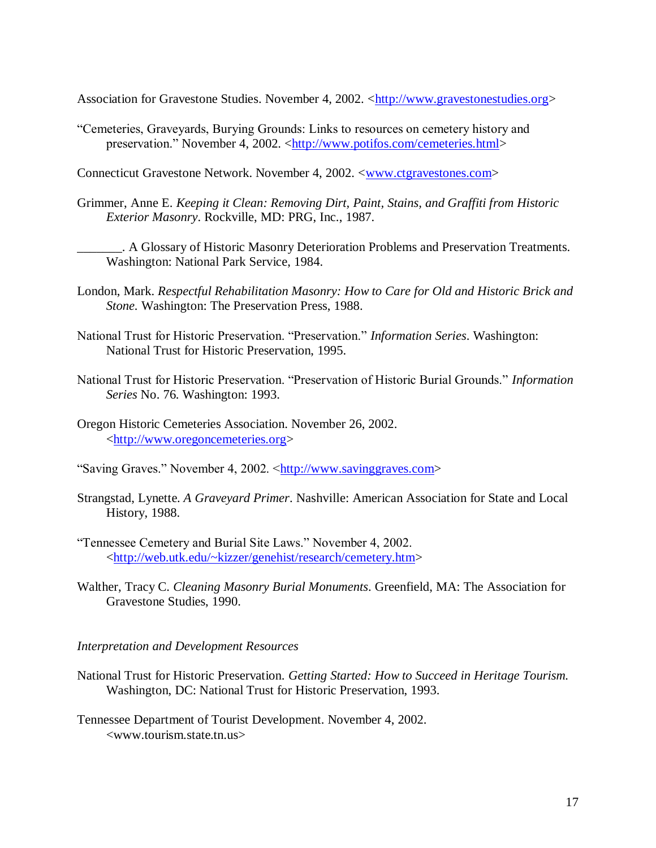Association for Gravestone Studies. November 4, 2002. [<http://www.gravestonestudies.org>](http://www.gravestonestudies.org/)

"Cemeteries, Graveyards, Burying Grounds: Links to resources on cemetery history and preservation." November 4, 2002. [<http://www.potifos.com/cemeteries.html>](http://www.potifos.com/cemeteries.html)

Connecticut Gravestone Network. November 4, 2002. [<www.ctgravestones.com>](http://www.ctgravestones.com/)

Grimmer, Anne E. *Keeping it Clean: Removing Dirt, Paint, Stains, and Graffiti from Historic Exterior Masonry*. Rockville, MD: PRG, Inc., 1987.

\_\_\_\_\_\_\_. A Glossary of Historic Masonry Deterioration Problems and Preservation Treatments. Washington: National Park Service, 1984.

- London, Mark. *Respectful Rehabilitation Masonry: How to Care for Old and Historic Brick and Stone.* Washington: The Preservation Press, 1988.
- National Trust for Historic Preservation. "Preservation." *Information Series*. Washington: National Trust for Historic Preservation, 1995.
- National Trust for Historic Preservation. "Preservation of Historic Burial Grounds." *Information Series* No. 76. Washington: 1993.
- Oregon Historic Cemeteries Association. November 26, 2002. [<http://www.oregoncemeteries.org>](http://www.oregoncemeteries.org/)
- "Saving Graves." November 4, 2002. [<http://www.savinggraves.com>](http://www.savinggraves.com/)
- Strangstad, Lynette. *A Graveyard Primer*. Nashville: American Association for State and Local History, 1988.
- "Tennessee Cemetery and Burial Site Laws." November 4, 2002. [<http://web.utk.edu/~kizzer/genehist/research/cemetery.htm>](http://web.utk.edu/~kizzer/genehist/research/cemetery.htm)
- Walther, Tracy C. *Cleaning Masonry Burial Monuments*. Greenfield, MA: The Association for Gravestone Studies, 1990.

*Interpretation and Development Resources*

National Trust for Historic Preservation. *Getting Started: How to Succeed in Heritage Tourism.*  Washington, DC: National Trust for Historic Preservation, 1993.

Tennessee Department of Tourist Development. November 4, 2002. <www.tourism.state.tn.us>